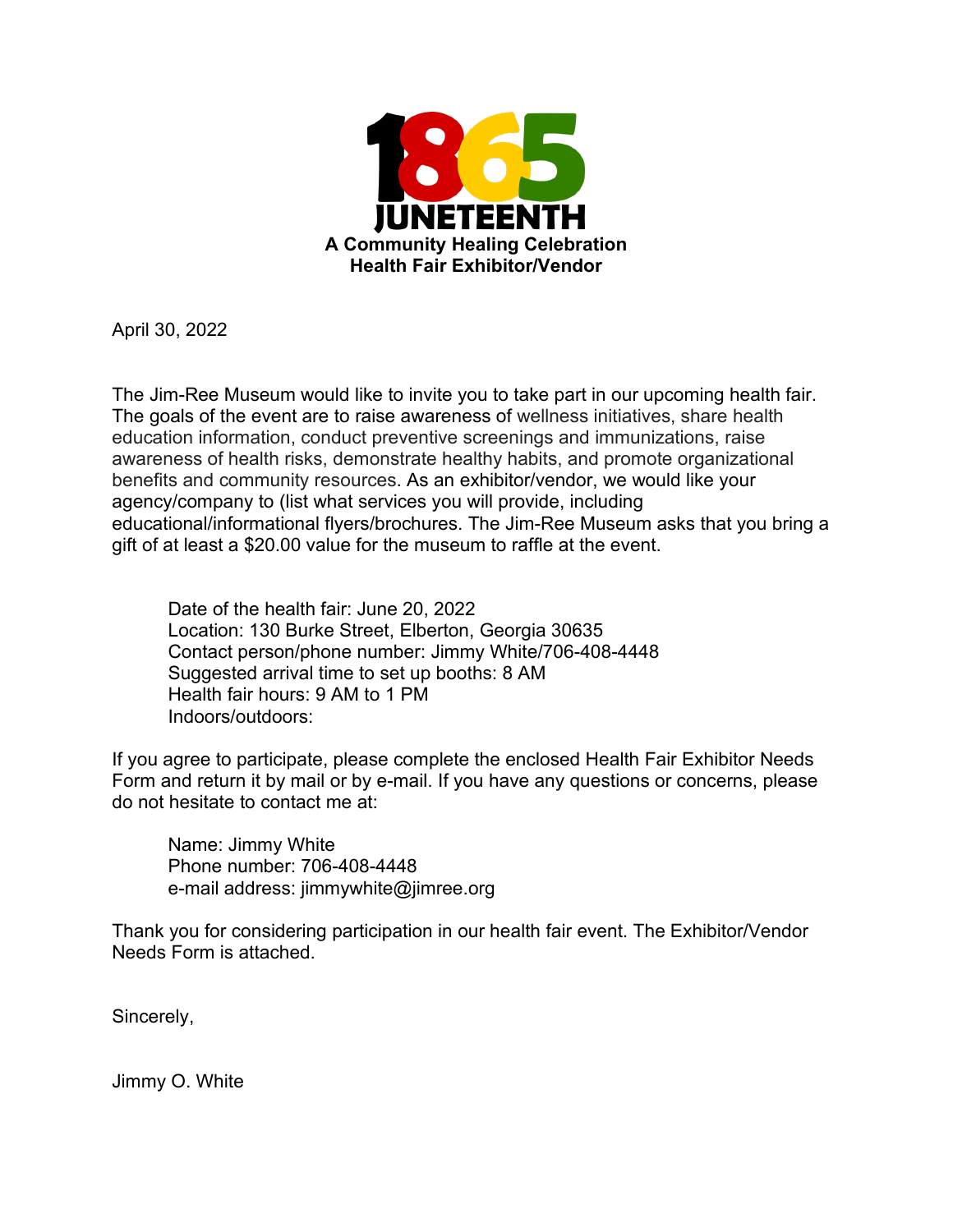

April 30, 2022

The Jim-Ree Museum would like to invite you to take part in our upcoming health fair. The goals of the event are to raise awareness of wellness initiatives, share health education information, conduct preventive screenings and immunizations, raise awareness of health risks, demonstrate healthy habits, and promote organizational benefits and community resources. As an exhibitor/vendor, we would like your agency/company to (list what services you will provide, including educational/informational flyers/brochures. The Jim-Ree Museum asks that you bring a gift of at least a \$20.00 value for the museum to raffle at the event.

Date of the health fair: June 20, 2022 Location: 130 Burke Street, Elberton, Georgia 30635 Contact person/phone number: Jimmy White/706-408-4448 Suggested arrival time to set up booths: 8 AM Health fair hours: 9 AM to 1 PM Indoors/outdoors:

If you agree to participate, please complete the enclosed Health Fair Exhibitor Needs Form and return it by mail or by e-mail. If you have any questions or concerns, please do not hesitate to contact me at:

Name: Jimmy White Phone number: 706-408-4448 e-mail address: jimmywhite@jimree.org

Thank you for considering participation in our health fair event. The Exhibitor/Vendor Needs Form is attached.

Sincerely,

Jimmy O. White